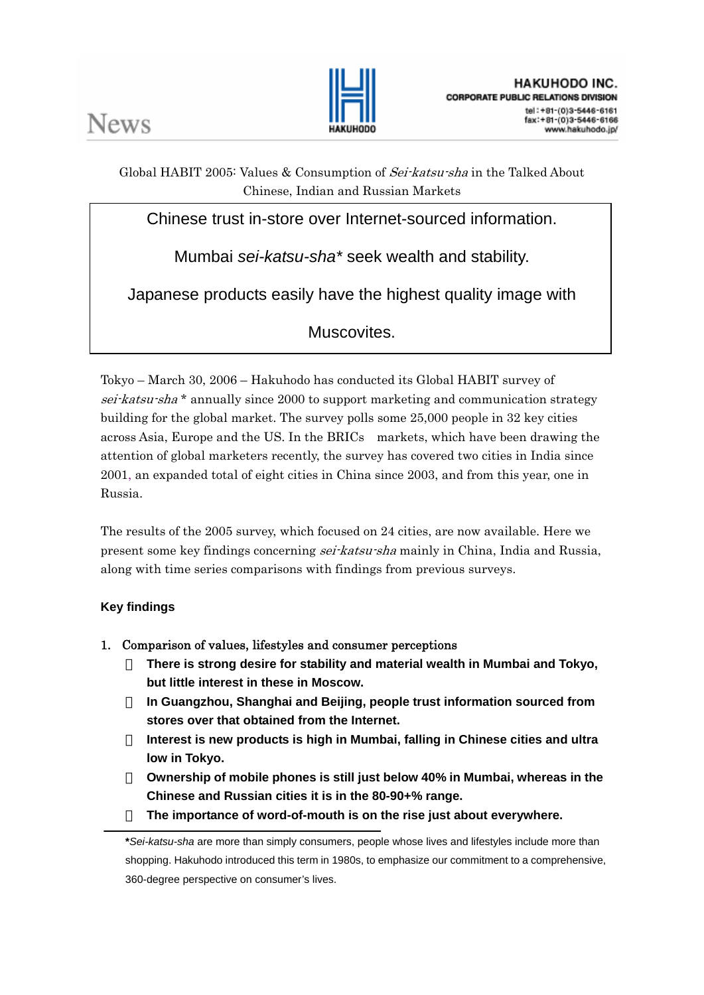

Global HABIT 2005: Values & Consumption of Sei-katsu-sha in the Talked About Chinese, Indian and Russian Markets

Chinese trust in-store over Internet-sourced information.

Mumbai *sei-katsu-sha\** seek wealth and stability.

Japanese products easily have the highest quality image with

Muscovites.

Tokyo – March 30, 2006 – Hakuhodo has conducted its Global HABIT survey of sei-katsu-sha<sup>\*</sup> annually since 2000 to support marketing and communication strategy building for the global market. The survey polls some 25,000 people in 32 key cities across Asia, Europe and the US. In the BRICs markets, which have been drawing the attention of global marketers recently, the survey has covered two cities in India since 2001, an expanded total of eight cities in China since 2003, and from this year, one in Russia.

The results of the 2005 survey, which focused on 24 cities, are now available. Here we present some key findings concerning *sei-katsu-sha* mainly in China, India and Russia, along with time series comparisons with findings from previous surveys.

# **Key findings**

1. Comparison of values, lifestyles and consumer perceptions

・ **There is strong desire for stability and material wealth in Mumbai and Tokyo, but little interest in these in Moscow.** 

・ **In Guangzhou, Shanghai and Beijing, people trust information sourced from stores over that obtained from the Internet.** 

・ **Interest is new products is high in Mumbai, falling in Chinese cities and ultra low in Tokyo.** 

・ **Ownership of mobile phones is still just below 40% in Mumbai, whereas in the Chinese and Russian cities it is in the 80-90+% range.** 

The importance of word-of-mouth is on the rise just about everywhere.

**<sup>\*</sup>***Sei-katsu-sha* are more than simply consumers, people whose lives and lifestyles include more than shopping. Hakuhodo introduced this term in 1980s, to emphasize our commitment to a comprehensive, 360-degree perspective on consumer's lives.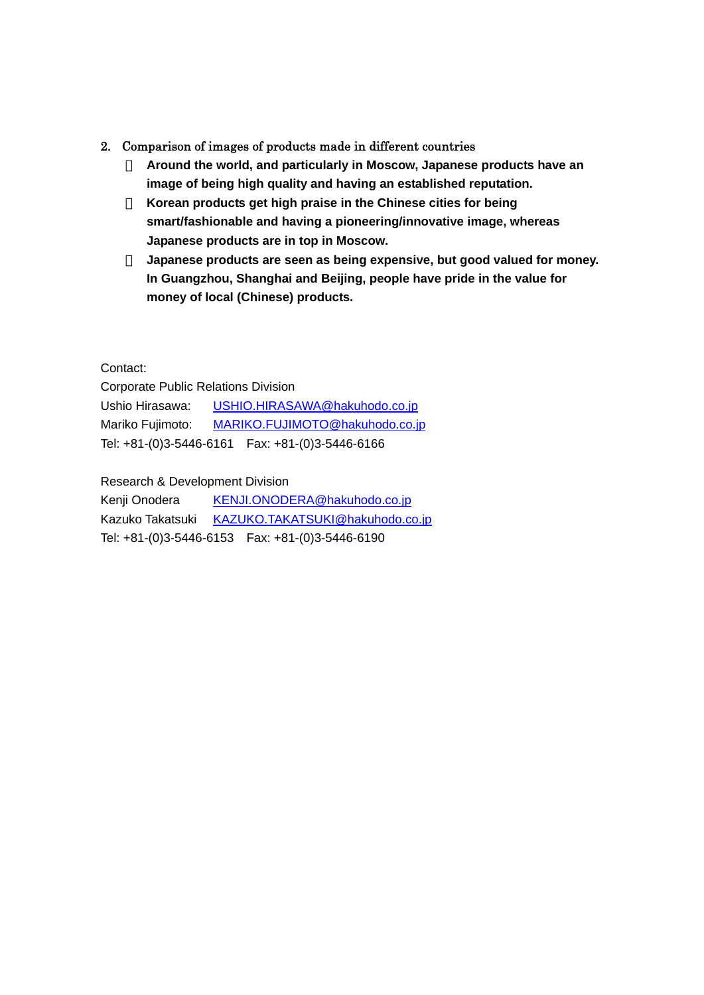#### 2. Comparison of images of products made in different countries

・ **Around the world, and particularly in Moscow, Japanese products have an image of being high quality and having an established reputation.**  Korean products get high praise in the Chinese cities for being **smart/fashionable and having a pioneering/innovative image, whereas Japanese products are in top in Moscow.** 

Japanese products are seen as being expensive, but good valued for money. **In Guangzhou, Shanghai and Beijing, people have pride in the value for money of local (Chinese) products.** 

#### Contact:

Corporate Public Relations Division Ushio Hirasawa: USHIO.HIRASAWA@hakuhodo.co.jp Mariko Fujimoto: MARIKO.FUJIMOTO@hakuhodo.co.jp Tel: +81-(0)3-5446-6161 Fax: +81-(0)3-5446-6166

Research & Development Division

Kenji Onodera KENJI.ONODERA@hakuhodo.co.jp Kazuko Takatsuki KAZUKO.TAKATSUKI@hakuhodo.co.jp Tel: +81-(0)3-5446-6153 Fax: +81-(0)3-5446-6190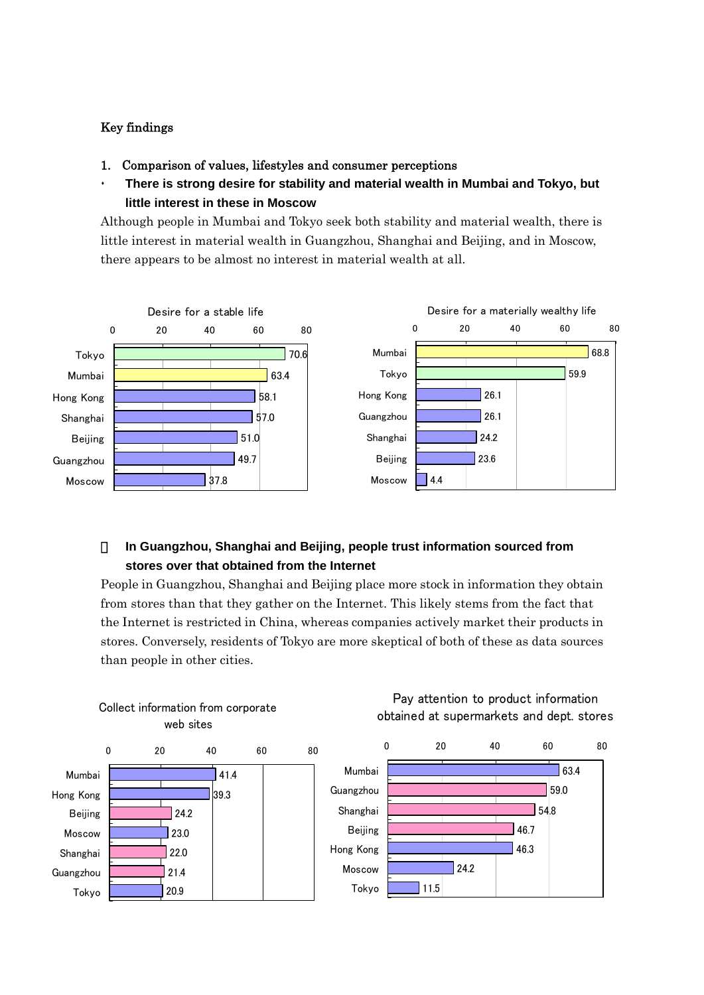### Key findings

- 1. Comparison of values, lifestyles and consumer perceptions
- **There is strong desire for stability and material wealth in Mumbai and Tokyo, but little interest in these in Moscow**

Although people in Mumbai and Tokyo seek both stability and material wealth, there is little interest in material wealth in Guangzhou, Shanghai and Beijing, and in Moscow, there appears to be almost no interest in material wealth at all.



# ・ **In Guangzhou, Shanghai and Beijing, people trust information sourced from stores over that obtained from the Internet**

People in Guangzhou, Shanghai and Beijing place more stock in information they obtain from stores than that they gather on the Internet. This likely stems from the fact that the Internet is restricted in China, whereas companies actively market their products in stores. Conversely, residents of Tokyo are more skeptical of both of these as data sources than people in other cities.

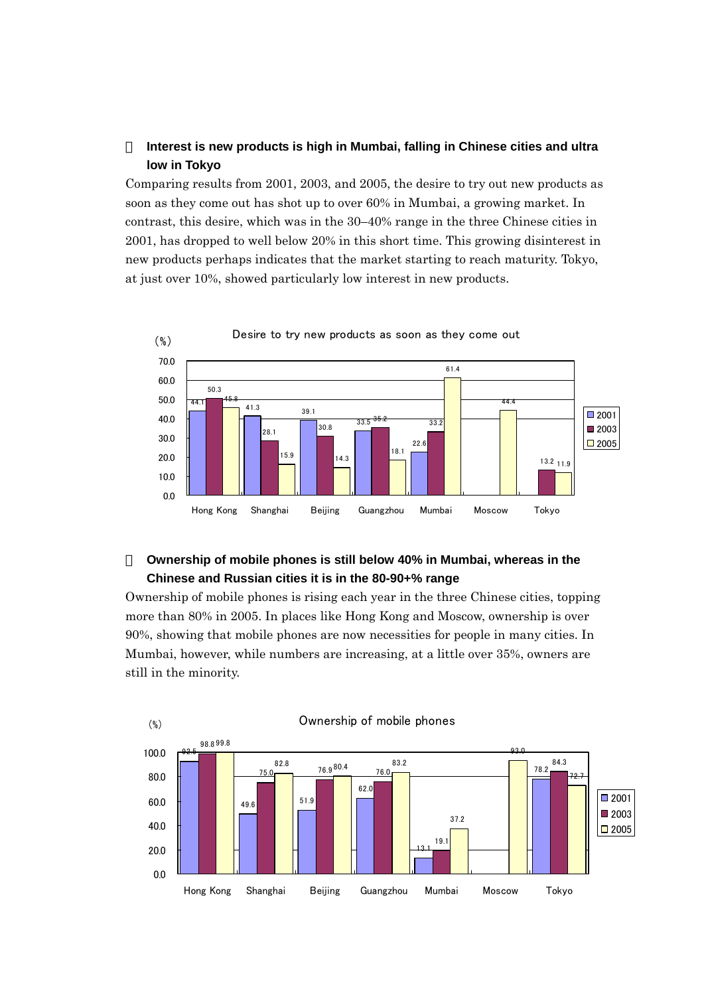# Interest is new products is high in Mumbai, falling in Chinese cities and ultra **low in Tokyo**

Comparing results from 2001, 2003, and 2005, the desire to try out new products as soon as they come out has shot up to over 60% in Mumbai, a growing market. In contrast, this desire, which was in the 30–40% range in the three Chinese cities in 2001, has dropped to well below 20% in this short time. This growing disinterest in new products perhaps indicates that the market starting to reach maturity. Tokyo, at just over 10%, showed particularly low interest in new products.



## **Ownership of mobile phones is still below 40% in Mumbai, whereas in the Chinese and Russian cities it is in the 80-90+% range**

Ownership of mobile phones is rising each year in the three Chinese cities, topping more than 80% in 2005. In places like Hong Kong and Moscow, ownership is over 90%, showing that mobile phones are now necessities for people in many cities. In Mumbai, however, while numbers are increasing, at a little over 35%, owners are still in the minority.

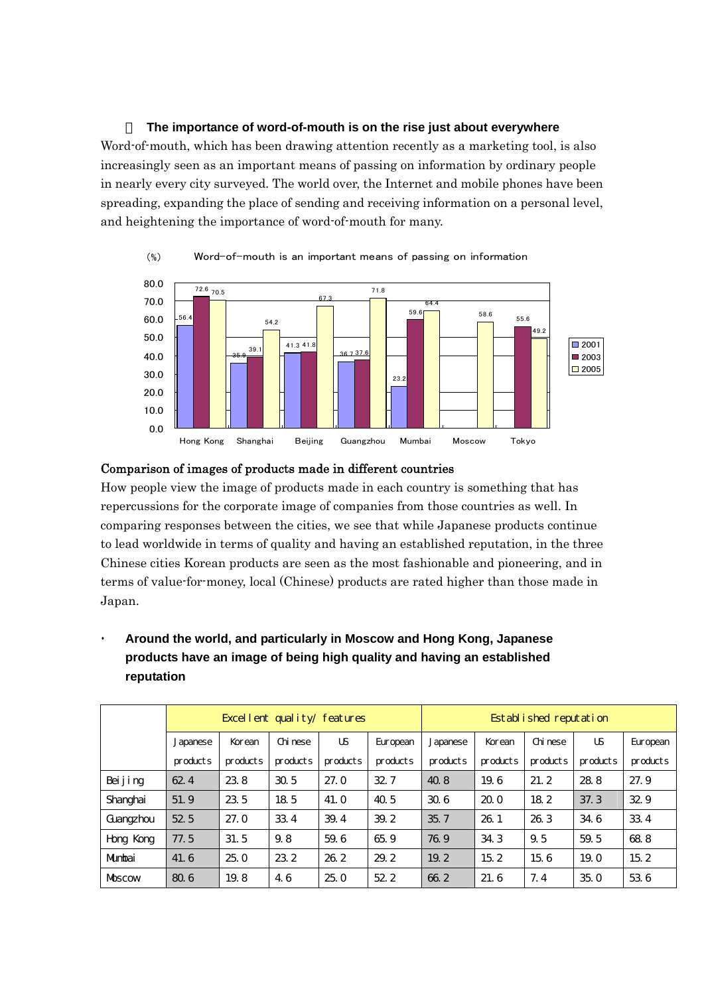・ **The importance of word-of-mouth is on the rise just about everywhere**  Word-of-mouth, which has been drawing attention recently as a marketing tool, is also increasingly seen as an important means of passing on information by ordinary people in nearly every city surveyed. The world over, the Internet and mobile phones have been spreading, expanding the place of sending and receiving information on a personal level, and heightening the importance of word-of-mouth for many.



#### Word-of-mouth is an important means of passing on information (%)

#### Comparison of images of products made in different countries

How people view the image of products made in each country is something that has repercussions for the corporate image of companies from those countries as well. In comparing responses between the cities, we see that while Japanese products continue to lead worldwide in terms of quality and having an established reputation, in the three Chinese cities Korean products are seen as the most fashionable and pioneering, and in terms of value-for-money, local (Chinese) products are rated higher than those made in Japan.

 **Around the world, and particularly in Moscow and Hong Kong, Japanese products have an image of being high quality and having an established reputation** 

|            |                 |          | Excellent quality/features |          |                 | Established reputation |          |                 |          |           |
|------------|-----------------|----------|----------------------------|----------|-----------------|------------------------|----------|-----------------|----------|-----------|
|            | Japanese        | Korean   | Chi nese                   | US       | Eur opean       | Japanese               | Korean   | Chi nese        | US       | Eur opean |
|            | products        | products | products                   | products | products        | products               | products | products        | products | products  |
| Bei j i ng | 624             | 23.8     | 30.5                       | 27.0     | 32 7            | 40.8                   | 19.6     | 21.2            | 28.8     | 27.9      |
| Shanghai   | 51.9            | 23.5     | 18.5                       | 41.0     | 40.5            | 30.6                   | 200      | 18 <sub>2</sub> | 37.3     | 32.9      |
| Guangzhou  | 52 <sub>5</sub> | 27.0     | 33.4                       | 39.4     | 39.2            | 35.7                   | 26.1     | 26.3            | 34.6     | 33.4      |
| Hong Kong  | 77.5            | 31.5     | 9.8                        | 59.6     | 65.9            | 76.9                   | 34.3     | 9.5             | 59.5     | 68.8      |
| Mumbai     | 41.6            | 25.0     | 23.2                       | 26.2     | 29.2            | 19.2                   | 15.2     | 15.6            | 19.0     | 15.2      |
| Moscow     | 80.6            | 19.8     | 4.6                        | 25.0     | 52 <sub>2</sub> | 66.2                   | 21.6     | 7.4             | 35.0     | 53.6      |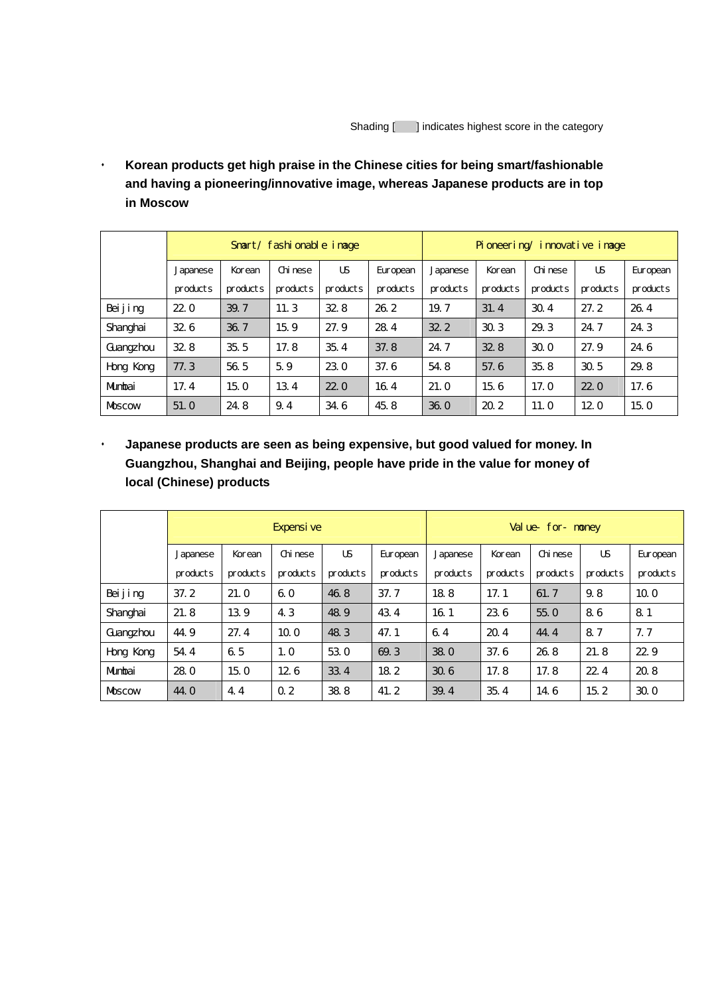**Korean products get high praise in the Chinese cities for being smart/fashionable and having a pioneering/innovative image, whereas Japanese products are in top in Moscow** 

|            | Smart/ fashionable image |          |          |          |           | Pioneering/innovative image |          |          |                 |           |
|------------|--------------------------|----------|----------|----------|-----------|-----------------------------|----------|----------|-----------------|-----------|
|            | Japanese                 | Korean   | Chi nese | US       | Eur opean | Japanese                    | Korean   | Chi nese | US              | Eur opean |
|            | products                 | products | products | products | products  | products                    | products | products | products        | products  |
| Bei j i ng | 220                      | 39.7     | 11.3     | 328      | 26.2      | 19.7                        | 31.4     | 30.4     | 27.2            | 26.4      |
| Shanghai   | 326                      | 36.7     | 15.9     | 27.9     | 28.4      | 32 <sub>2</sub>             | 30.3     | 29.3     | 24.7            | 24.3      |
| Guangzhou  | 328                      | 35.5     | 17.8     | 35.4     | 37.8      | 24.7                        | 328      | 300      | 27.9            | 24.6      |
| Hong Kong  | 77.3                     | 56.5     | 5.9      | 23.0     | 37.6      | 54.8                        | 57.6     | 35.8     | 30.5            | 29.8      |
| Mumbai     | 17.4                     | 15.0     | 13.4     | 220      | 16.4      | 21.0                        | 15.6     | 17.0     | 220             | 17.6      |
| Moscow     | 51.0                     | 24.8     | 9.4      | 34.6     | 45.8      | 360                         | 20.2     | 11.0     | 12 <sub>0</sub> | 15.0      |

 **Japanese products are seen as being expensive, but good valued for money. In Guangzhou, Shanghai and Beijing, people have pride in the value for money of local (Chinese) products** 

|            | Expensi ve |          |                 |          |                 | Val ue<br>for<br>noney |          |          |          |                 |
|------------|------------|----------|-----------------|----------|-----------------|------------------------|----------|----------|----------|-----------------|
|            | Japanese   | Korean   | Chi nese        | US       | Eur opean       | Japanese               | Korean   | Chi nese | US       | Eur opean       |
|            | products   | products | products        | products | products        | products               | products | products | products | products        |
| Bei j i ng | 37.2       | 21.0     | 60              | 46.8     | 37.7            | 188                    | 17.1     | 61.7     | 9.8      | 10 <sub>o</sub> |
| Shanghai   | 21.8       | 13.9     | 4.3             | 48.9     | 43.4            | 16.1                   | 23.6     | 55.0     | 86       | 81              |
| Guangzhou  | 44.9       | 27.4     | 10 <sub>o</sub> | 48.3     | 47.1            | 6.4                    | 20.4     | 44.4     | 8.7      | 7.7             |
| Hong Kong  | 54.4       | 65       | 1.0             | 53.0     | 69.3            | 38.0                   | 37.6     | 26.8     | 21.8     | 22.9            |
| Mumbai     | 28.0       | 15.0     | 126             | 33.4     | 18 <sub>2</sub> | 30.6                   | 17.8     | 17.8     | 224      | 20.8            |
| Moscow     | 44. O      | 4.4      | Q <sub>2</sub>  | 38.8     | 41.2            | 39.4                   | 35.4     | 14.6     | 15.2     | 300             |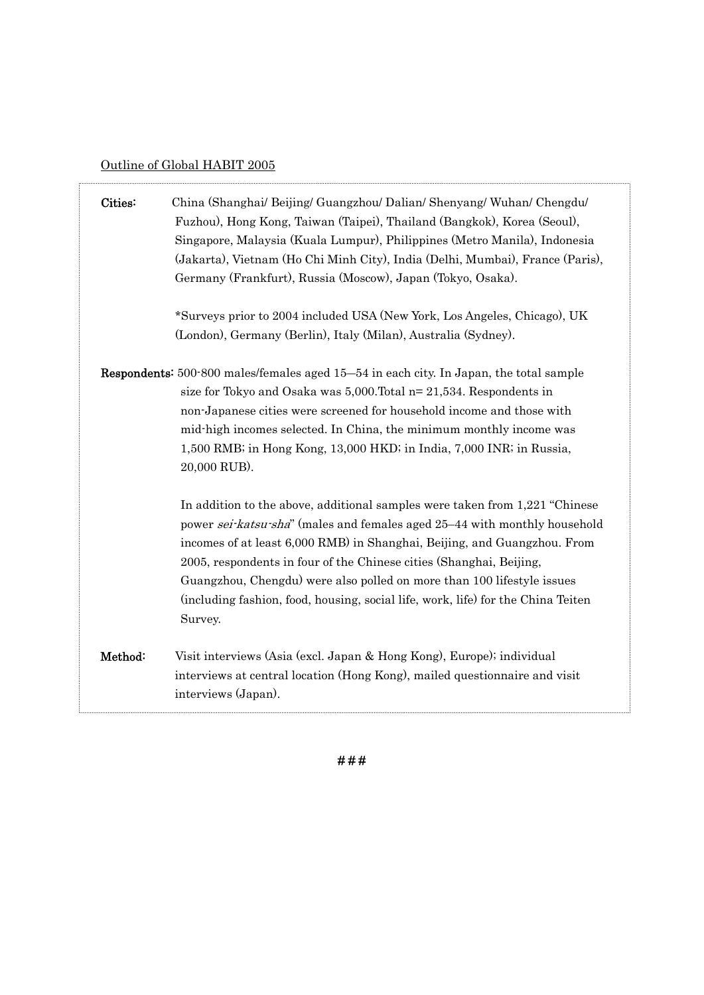# Outline of Global HABIT 2005

 $\ddot{\phantom{0}}$ 

| Cities: | China (Shanghai/ Beijing/ Guangzhou/ Dalian/ Shenyang/ Wuhan/ Chengdu/<br>Fuzhou), Hong Kong, Taiwan (Taipei), Thailand (Bangkok), Korea (Seoul),<br>Singapore, Malaysia (Kuala Lumpur), Philippines (Metro Manila), Indonesia<br>(Jakarta), Vietnam (Ho Chi Minh City), India (Delhi, Mumbai), France (Paris),<br>Germany (Frankfurt), Russia (Moscow), Japan (Tokyo, Osaka).                                                                                                        |
|---------|---------------------------------------------------------------------------------------------------------------------------------------------------------------------------------------------------------------------------------------------------------------------------------------------------------------------------------------------------------------------------------------------------------------------------------------------------------------------------------------|
|         | *Surveys prior to 2004 included USA (New York, Los Angeles, Chicago), UK<br>(London), Germany (Berlin), Italy (Milan), Australia (Sydney).                                                                                                                                                                                                                                                                                                                                            |
|         | <b>Respondents:</b> 500-800 males/females aged 15-54 in each city. In Japan, the total sample<br>size for Tokyo and Osaka was $5,000$ . Total $n=21,534$ . Respondents in<br>non-Japanese cities were screened for household income and those with<br>mid-high incomes selected. In China, the minimum monthly income was<br>1,500 RMB; in Hong Kong, 13,000 HKD; in India, 7,000 INR; in Russia,<br>20,000 RUB).                                                                     |
|         | In addition to the above, additional samples were taken from 1,221 "Chinese"<br>power sei-katsu-sha" (males and females aged 25–44 with monthly household<br>incomes of at least 6,000 RMB) in Shanghai, Beijing, and Guangzhou. From<br>2005, respondents in four of the Chinese cities (Shanghai, Beijing,<br>Guangzhou, Chengdu) were also polled on more than 100 lifestyle issues<br>(including fashion, food, housing, social life, work, life) for the China Teiten<br>Survey. |
| Method: | Visit interviews (Asia (excl. Japan & Hong Kong), Europe); individual<br>interviews at central location (Hong Kong), mailed questionnaire and visit<br>interviews (Japan).                                                                                                                                                                                                                                                                                                            |

# # #